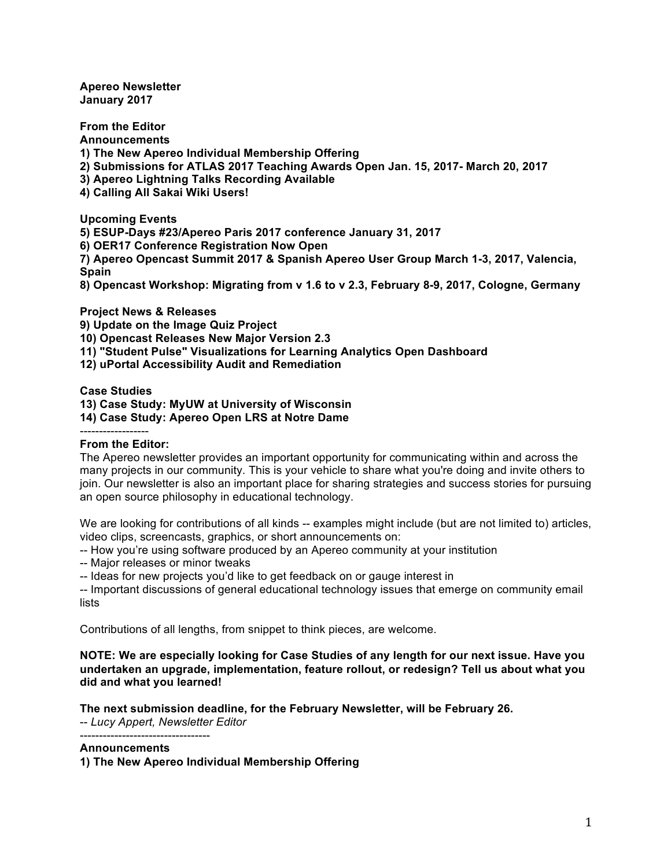**Apereo Newsletter January 2017**

**From the Editor Announcements 1) The New Apereo Individual Membership Offering 2) Submissions for ATLAS 2017 Teaching Awards Open Jan. 15, 2017- March 20, 2017 3) Apereo Lightning Talks Recording Available 4) Calling All Sakai Wiki Users!**

**Upcoming Events**

**5) ESUP-Days #23/Apereo Paris 2017 conference January 31, 2017**

**6) OER17 Conference Registration Now Open**

**7) Apereo Opencast Summit 2017 & Spanish Apereo User Group March 1-3, 2017, Valencia, Spain**

**8) Opencast Workshop: Migrating from v 1.6 to v 2.3, February 8-9, 2017, Cologne, Germany**

**Project News & Releases**

**9) Update on the Image Quiz Project**

**10) Opencast Releases New Major Version 2.3**

- **11) "Student Pulse" Visualizations for Learning Analytics Open Dashboard**
- **12) uPortal Accessibility Audit and Remediation**

**Case Studies**

**13) Case Study: MyUW at University of Wisconsin**

**14) Case Study: Apereo Open LRS at Notre Dame**

#### ------------------ **From the Editor:**

The Apereo newsletter provides an important opportunity for communicating within and across the many projects in our community. This is your vehicle to share what you're doing and invite others to join. Our newsletter is also an important place for sharing strategies and success stories for pursuing an open source philosophy in educational technology.

We are looking for contributions of all kinds -- examples might include (but are not limited to) articles, video clips, screencasts, graphics, or short announcements on:

-- How you're using software produced by an Apereo community at your institution

-- Major releases or minor tweaks

-- Ideas for new projects you'd like to get feedback on or gauge interest in

-- Important discussions of general educational technology issues that emerge on community email lists

Contributions of all lengths, from snippet to think pieces, are welcome.

**NOTE: We are especially looking for Case Studies of any length for our next issue. Have you undertaken an upgrade, implementation, feature rollout, or redesign? Tell us about what you did and what you learned!**

**The next submission deadline, for the February Newsletter, will be February 26.** -- *Lucy Appert, Newsletter Editor*

#### **Announcements**

----------------------------------

**1) The New Apereo Individual Membership Offering**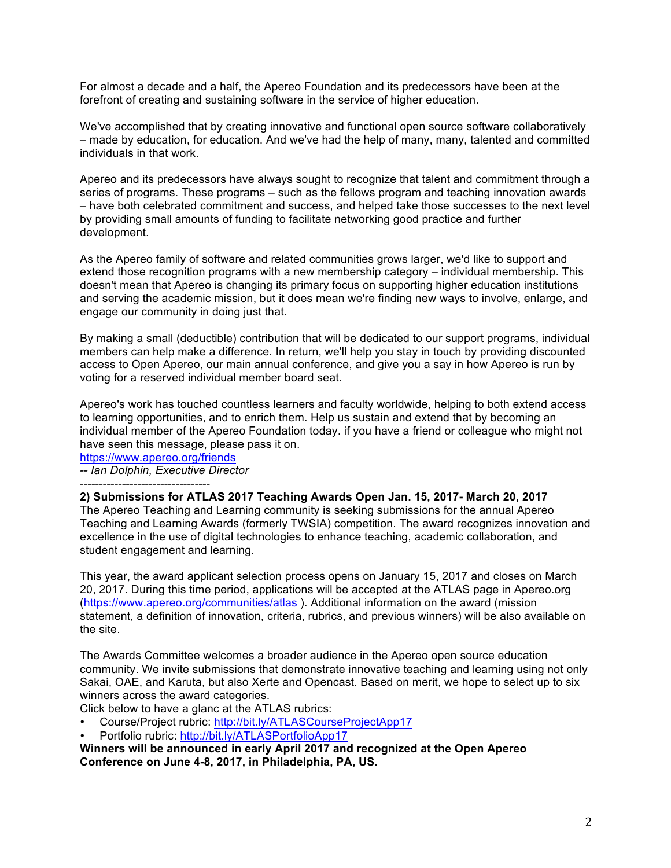For almost a decade and a half, the Apereo Foundation and its predecessors have been at the forefront of creating and sustaining software in the service of higher education.

We've accomplished that by creating innovative and functional open source software collaboratively – made by education, for education. And we've had the help of many, many, talented and committed individuals in that work.

Apereo and its predecessors have always sought to recognize that talent and commitment through a series of programs. These programs – such as the fellows program and teaching innovation awards – have both celebrated commitment and success, and helped take those successes to the next level by providing small amounts of funding to facilitate networking good practice and further development.

As the Apereo family of software and related communities grows larger, we'd like to support and extend those recognition programs with a new membership category – individual membership. This doesn't mean that Apereo is changing its primary focus on supporting higher education institutions and serving the academic mission, but it does mean we're finding new ways to involve, enlarge, and engage our community in doing just that.

By making a small (deductible) contribution that will be dedicated to our support programs, individual members can help make a difference. In return, we'll help you stay in touch by providing discounted access to Open Apereo, our main annual conference, and give you a say in how Apereo is run by voting for a reserved individual member board seat.

Apereo's work has touched countless learners and faculty worldwide, helping to both extend access to learning opportunities, and to enrich them. Help us sustain and extend that by becoming an individual member of the Apereo Foundation today. if you have a friend or colleague who might not have seen this message, please pass it on.

https://www.apereo.org/friends *-- Ian Dolphin, Executive Director*

----------------------------------

#### **2) Submissions for ATLAS 2017 Teaching Awards Open Jan. 15, 2017- March 20, 2017**

The Apereo Teaching and Learning community is seeking submissions for the annual Apereo Teaching and Learning Awards (formerly TWSIA) competition. The award recognizes innovation and excellence in the use of digital technologies to enhance teaching, academic collaboration, and student engagement and learning.

This year, the award applicant selection process opens on January 15, 2017 and closes on March 20, 2017. During this time period, applications will be accepted at the ATLAS page in Apereo.org (https://www.apereo.org/communities/atlas ). Additional information on the award (mission statement, a definition of innovation, criteria, rubrics, and previous winners) will be also available on the site.

The Awards Committee welcomes a broader audience in the Apereo open source education community. We invite submissions that demonstrate innovative teaching and learning using not only Sakai, OAE, and Karuta, but also Xerte and Opencast. Based on merit, we hope to select up to six winners across the award categories.

Click below to have a glanc at the ATLAS rubrics:

- Course/Project rubric: http://bit.ly/ATLASCourseProjectApp17
- Portfolio rubric: http://bit.ly/ATLASPortfolioApp17

**Winners will be announced in early April 2017 and recognized at the Open Apereo Conference on June 4-8, 2017, in Philadelphia, PA, US.**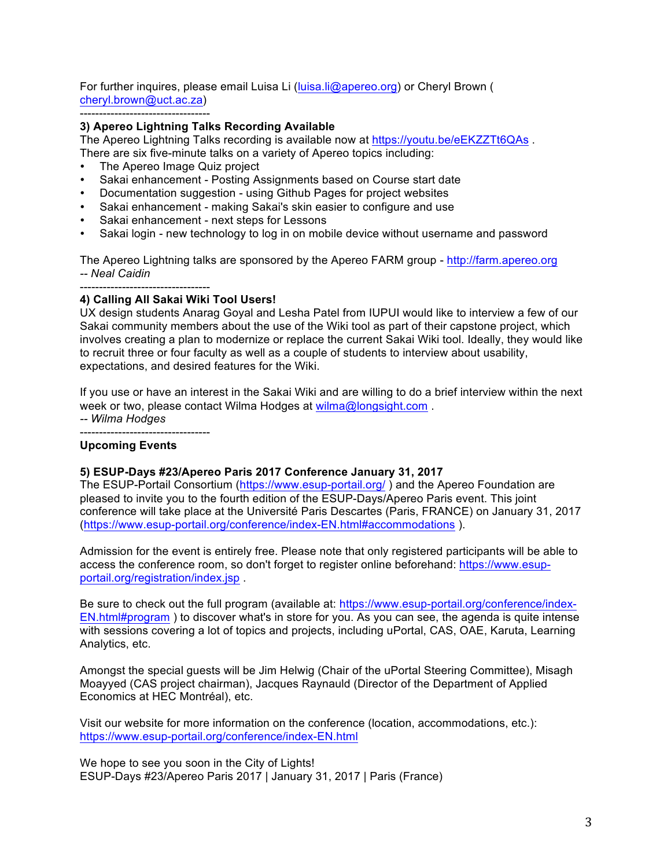For further inquires, please email Luisa Li (luisa.li@apereo.org) or Cheryl Brown ( cheryl.brown@uct.ac.za)

----------------------------------

# **3) Apereo Lightning Talks Recording Available**

The Apereo Lightning Talks recording is available now at https://youtu.be/eEKZZTt6QAs .

There are six five-minute talks on a variety of Apereo topics including:

- The Apereo Image Quiz project
- Sakai enhancement Posting Assignments based on Course start date
- Documentation suggestion using Github Pages for project websites
- Sakai enhancement making Sakai's skin easier to configure and use
- Sakai enhancement next steps for Lessons
- Sakai login new technology to log in on mobile device without username and password

The Apereo Lightning talks are sponsored by the Apereo FARM group - http://farm.apereo.org *-- Neal Caidin*

#### ---------------------------------- **4) Calling All Sakai Wiki Tool Users!**

UX design students Anarag Goyal and Lesha Patel from IUPUI would like to interview a few of our Sakai community members about the use of the Wiki tool as part of their capstone project, which involves creating a plan to modernize or replace the current Sakai Wiki tool. Ideally, they would like to recruit three or four faculty as well as a couple of students to interview about usability, expectations, and desired features for the Wiki.

If you use or have an interest in the Sakai Wiki and are willing to do a brief interview within the next week or two, please contact Wilma Hodges at wilma@longsight.com.

*-- Wilma Hodges* ----------------------------------

# **Upcoming Events**

## **5) ESUP-Days #23/Apereo Paris 2017 Conference January 31, 2017**

The ESUP-Portail Consortium (https://www.esup-portail.org/ ) and the Apereo Foundation are pleased to invite you to the fourth edition of the ESUP-Days/Apereo Paris event. This joint conference will take place at the Université Paris Descartes (Paris, FRANCE) on January 31, 2017 (https://www.esup-portail.org/conference/index-EN.html#accommodations ).

Admission for the event is entirely free. Please note that only registered participants will be able to access the conference room, so don't forget to register online beforehand: https://www.esupportail.org/registration/index.jsp .

Be sure to check out the full program (available at: https://www.esup-portail.org/conference/index-EN.html#program ) to discover what's in store for you. As you can see, the agenda is quite intense with sessions covering a lot of topics and projects, including uPortal, CAS, OAE, Karuta, Learning Analytics, etc.

Amongst the special guests will be Jim Helwig (Chair of the uPortal Steering Committee), Misagh Moayyed (CAS project chairman), Jacques Raynauld (Director of the Department of Applied Economics at HEC Montréal), etc.

Visit our website for more information on the conference (location, accommodations, etc.): https://www.esup-portail.org/conference/index-EN.html

We hope to see you soon in the City of Lights! ESUP-Days #23/Apereo Paris 2017 | January 31, 2017 | Paris (France)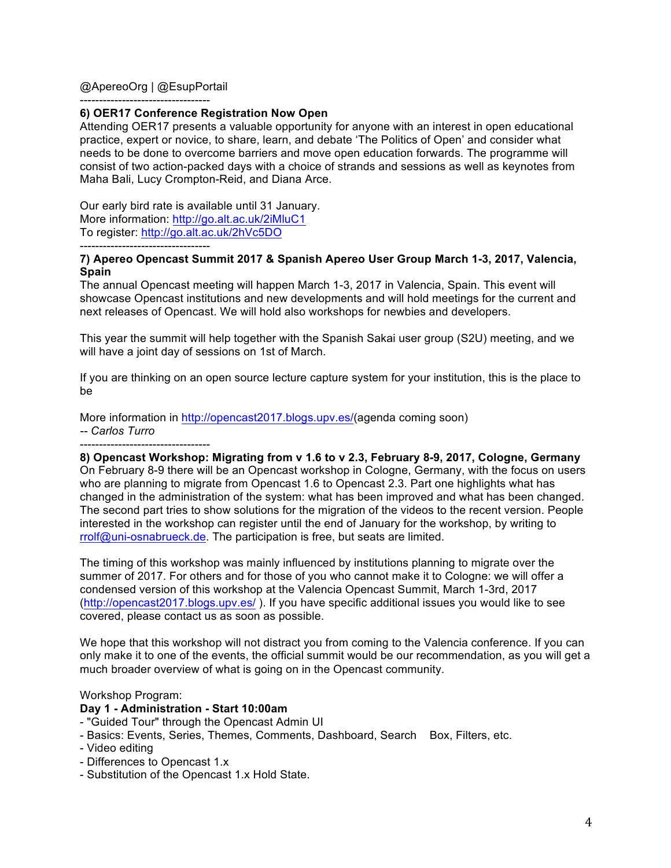## @ApereoOrg | @EsupPortail

----------------------------------

## **6) OER17 Conference Registration Now Open**

Attending OER17 presents a valuable opportunity for anyone with an interest in open educational practice, expert or novice, to share, learn, and debate 'The Politics of Open' and consider what needs to be done to overcome barriers and move open education forwards. The programme will consist of two action-packed days with a choice of strands and sessions as well as keynotes from Maha Bali, Lucy Crompton-Reid, and Diana Arce.

Our early bird rate is available until 31 January. More information: http://go.alt.ac.uk/2iMluC1 To register: http://go.alt.ac.uk/2hVc5DO ----------------------------------

#### **7) Apereo Opencast Summit 2017 & Spanish Apereo User Group March 1-3, 2017, Valencia, Spain**

The annual Opencast meeting will happen March 1-3, 2017 in Valencia, Spain. This event will showcase Opencast institutions and new developments and will hold meetings for the current and next releases of Opencast. We will hold also workshops for newbies and developers.

This year the summit will help together with the Spanish Sakai user group (S2U) meeting, and we will have a joint day of sessions on 1st of March.

If you are thinking on an open source lecture capture system for your institution, this is the place to be

More information in http://opencast2017.blogs.upv.es/(agenda coming soon) *-- Carlos Turro* ----------------------------------

**8) Opencast Workshop: Migrating from v 1.6 to v 2.3, February 8-9, 2017, Cologne, Germany** On February 8-9 there will be an Opencast workshop in Cologne, Germany, with the focus on users who are planning to migrate from Opencast 1.6 to Opencast 2.3. Part one highlights what has changed in the administration of the system: what has been improved and what has been changed. The second part tries to show solutions for the migration of the videos to the recent version. People interested in the workshop can register until the end of January for the workshop, by writing to rrolf@uni-osnabrueck.de. The participation is free, but seats are limited.

The timing of this workshop was mainly influenced by institutions planning to migrate over the summer of 2017. For others and for those of you who cannot make it to Cologne: we will offer a condensed version of this workshop at the Valencia Opencast Summit, March 1-3rd, 2017 (http://opencast2017.blogs.upv.es/ ). If you have specific additional issues you would like to see covered, please contact us as soon as possible.

We hope that this workshop will not distract you from coming to the Valencia conference. If you can only make it to one of the events, the official summit would be our recommendation, as you will get a much broader overview of what is going on in the Opencast community.

#### Workshop Program:

## **Day 1 - Administration - Start 10:00am**

- "Guided Tour" through the Opencast Admin UI
- Basics: Events, Series, Themes, Comments, Dashboard, Search Box, Filters, etc.
- Video editing
- Differences to Opencast 1.x
- Substitution of the Opencast 1.x Hold State.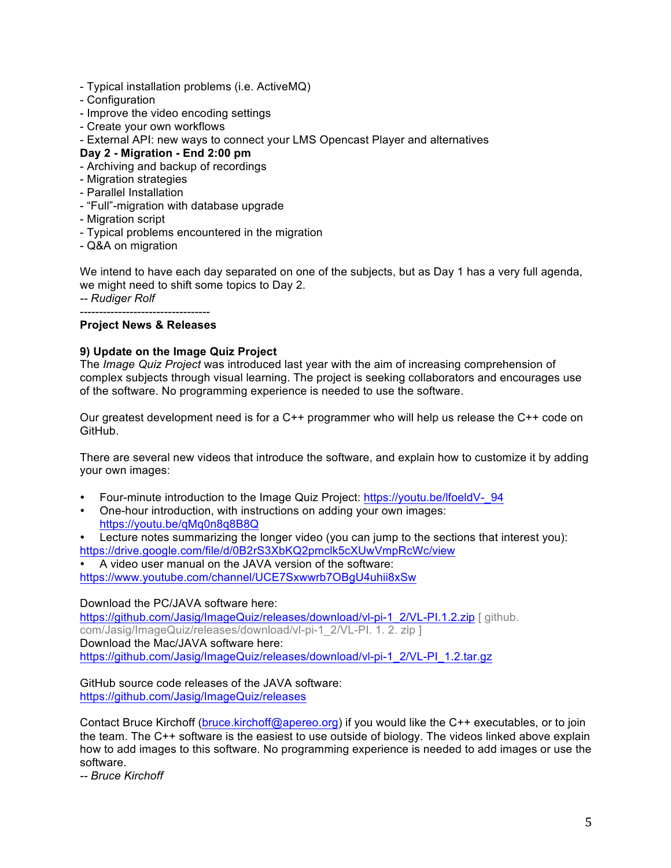- Typical installation problems (i.e. ActiveMQ)
- Configuration
- Improve the video encoding settings
- Create your own workflows
- External API: new ways to connect your LMS Opencast Player and alternatives

# **Day 2 - Migration - End 2:00 pm**

- Archiving and backup of recordings
- Migration strategies
- Parallel Installation
- "Full"-migration with database upgrade
- Migration script
- Typical problems encountered in the migration
- Q&A on migration

We intend to have each day separated on one of the subjects, but as Day 1 has a very full agenda, we might need to shift some topics to Day 2.

*-- Rudiger Rolf*

----------------------------------

# **Project News & Releases**

## **9) Update on the Image Quiz Project**

The *Image Quiz Project* was introduced last year with the aim of increasing comprehension of complex subjects through visual learning. The project is seeking collaborators and encourages use of the software. No programming experience is needed to use the software.

Our greatest development need is for a C++ programmer who will help us release the C++ code on GitHub.

There are several new videos that introduce the software, and explain how to customize it by adding your own images:

- Four-minute introduction to the Image Quiz Project: https://youtu.be/lfoeldV-\_94
- One-hour introduction, with instructions on adding your own images: https://youtu.be/qMq0n8q8B8Q
- Lecture notes summarizing the longer video (you can jump to the sections that interest you): https://drive.google.com/file/d/0B2rS3XbKQ2pmclk5cXUwVmpRcWc/view
- A video user manual on the JAVA version of the software:

https://www.youtube.com/channel/UCE7Sxwwrb7OBgU4uhii8xSw

## Download the PC/JAVA software here:

https://github.com/Jasig/ImageQuiz/releases/download/vl-pi-1\_2/VL-PI.1.2.zip [ github. com/Jasig/ImageQuiz/releases/download/vl-pi-1\_2/VL-PI. 1. 2. zip ] Download the Mac/JAVA software here: https://github.com/Jasig/ImageQuiz/releases/download/vl-pi-1\_2/VL-PI\_1.2.tar.gz

GitHub source code releases of the JAVA software: https://github.com/Jasig/ImageQuiz/releases

Contact Bruce Kirchoff (bruce.kirchoff@apereo.org) if you would like the C++ executables, or to join the team. The C++ software is the easiest to use outside of biology. The videos linked above explain how to add images to this software. No programming experience is needed to add images or use the software.

*-- Bruce Kirchoff*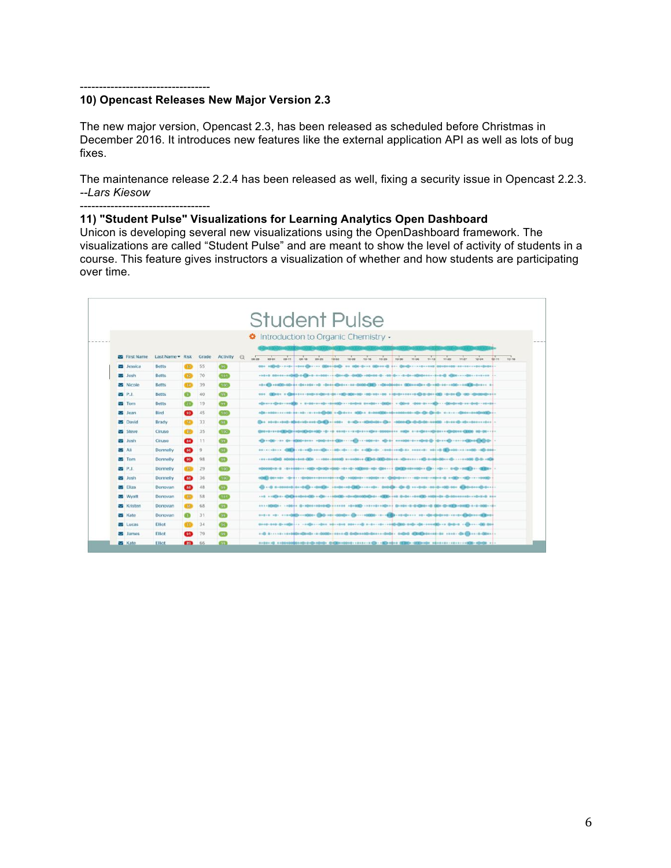#### ----------------------------------

# **10) Opencast Releases New Major Version 2.3**

The new major version, Opencast 2.3, has been released as scheduled before Christmas in December 2016. It introduces new features like the external application API as well as lots of bug fixes.

The maintenance release 2.2.4 has been released as well, fixing a security issue in Opencast 2.2.3. *--Lars Kiesow*

---------------------------------- **11) "Student Pulse" Visualizations for Learning Analytics Open Dashboard**

Unicon is developing several new visualizations using the OpenDashboard framework. The visualizations are called "Student Pulse" and are meant to show the level of activity of students in a course. This feature gives instructors a visualization of whether and how students are participating over time.

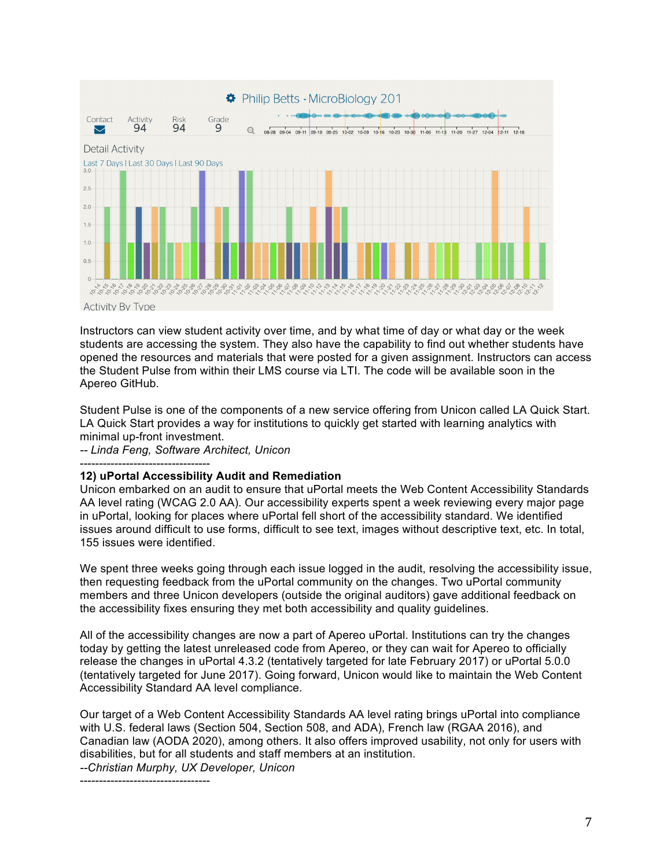

Instructors can view student activity over time, and by what time of day or what day or the week students are accessing the system. They also have the capability to find out whether students have opened the resources and materials that were posted for a given assignment. Instructors can access the Student Pulse from within their LMS course via LTI. The code will be available soon in the Apereo GitHub.

Student Pulse is one of the components of a new service offering from Unicon called LA Quick Start. LA Quick Start provides a way for institutions to quickly get started with learning analytics with minimal up-front investment.

*-- Linda Feng, Software Architect, Unicon*

----------------------------------

## **12) uPortal Accessibility Audit and Remediation**

Unicon embarked on an audit to ensure that uPortal meets the Web Content Accessibility Standards AA level rating (WCAG 2.0 AA). Our accessibility experts spent a week reviewing every major page in uPortal, looking for places where uPortal fell short of the accessibility standard. We identified issues around difficult to use forms, difficult to see text, images without descriptive text, etc. In total, 155 issues were identified.

We spent three weeks going through each issue logged in the audit, resolving the accessibility issue, then requesting feedback from the uPortal community on the changes. Two uPortal community members and three Unicon developers (outside the original auditors) gave additional feedback on the accessibility fixes ensuring they met both accessibility and quality guidelines.

All of the accessibility changes are now a part of Apereo uPortal. Institutions can try the changes today by getting the latest unreleased code from Apereo, or they can wait for Apereo to officially release the changes in uPortal 4.3.2 (tentatively targeted for late February 2017) or uPortal 5.0.0 (tentatively targeted for June 2017). Going forward, Unicon would like to maintain the Web Content Accessibility Standard AA level compliance.

Our target of a Web Content Accessibility Standards AA level rating brings uPortal into compliance with U.S. federal laws (Section 504, Section 508, and ADA), French law (RGAA 2016), and Canadian law (AODA 2020), among others. It also offers improved usability, not only for users with disabilities, but for all students and staff members at an institution.

*--Christian Murphy, UX Developer, Unicon*

----------------------------------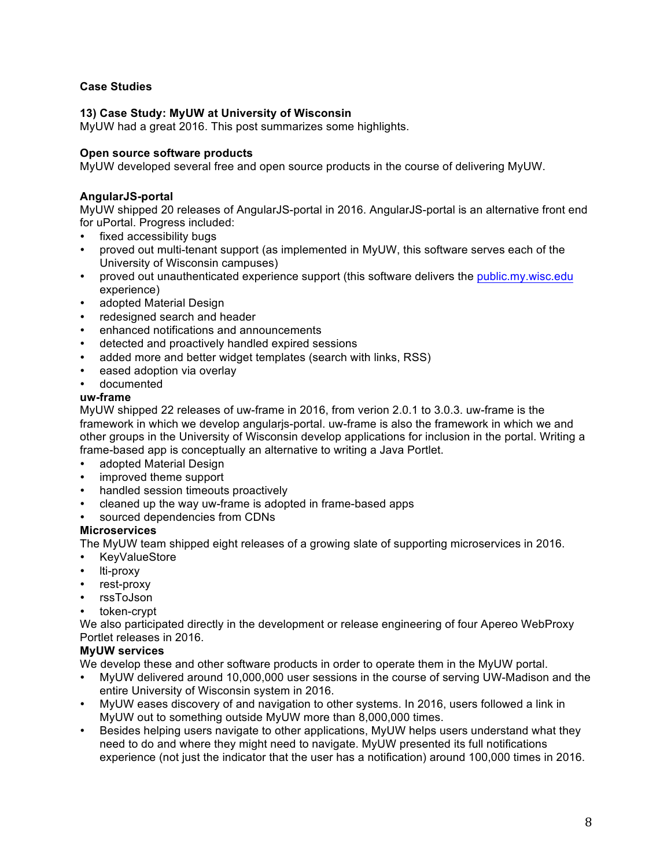# **Case Studies**

## **13) Case Study: MyUW at University of Wisconsin**

MyUW had a great 2016. This post summarizes some highlights.

## **Open source software products**

MyUW developed several free and open source products in the course of delivering MyUW.

# **AngularJS-portal**

MyUW shipped 20 releases of AngularJS-portal in 2016. AngularJS-portal is an alternative front end for uPortal. Progress included:

- fixed accessibility bugs
- proved out multi-tenant support (as implemented in MyUW, this software serves each of the University of Wisconsin campuses)
- proved out unauthenticated experience support (this software delivers the public.my.wisc.edu experience)
- adopted Material Design
- redesigned search and header
- enhanced notifications and announcements
- detected and proactively handled expired sessions
- added more and better widget templates (search with links, RSS)
- eased adoption via overlay
- documented

# **uw-frame**

MyUW shipped 22 releases of uw-frame in 2016, from verion 2.0.1 to 3.0.3. uw-frame is the framework in which we develop angularjs-portal. uw-frame is also the framework in which we and other groups in the University of Wisconsin develop applications for inclusion in the portal. Writing a frame-based app is conceptually an alternative to writing a Java Portlet.

- adopted Material Design
- improved theme support
- handled session timeouts proactively
- cleaned up the way uw-frame is adopted in frame-based apps
- sourced dependencies from CDNs

## **Microservices**

The MyUW team shipped eight releases of a growing slate of supporting microservices in 2016.

- KeyValueStore
- 
- lti-proxy<br>• rest-prox rest-proxy
- rssToJson
- token-crypt

We also participated directly in the development or release engineering of four Apereo WebProxy Portlet releases in 2016.

## **MyUW services**

We develop these and other software products in order to operate them in the MyUW portal.

- MyUW delivered around 10,000,000 user sessions in the course of serving UW-Madison and the entire University of Wisconsin system in 2016.
- MyUW eases discovery of and navigation to other systems. In 2016, users followed a link in MyUW out to something outside MyUW more than 8,000,000 times.
- Besides helping users navigate to other applications, MyUW helps users understand what they need to do and where they might need to navigate. MyUW presented its full notifications experience (not just the indicator that the user has a notification) around 100,000 times in 2016.